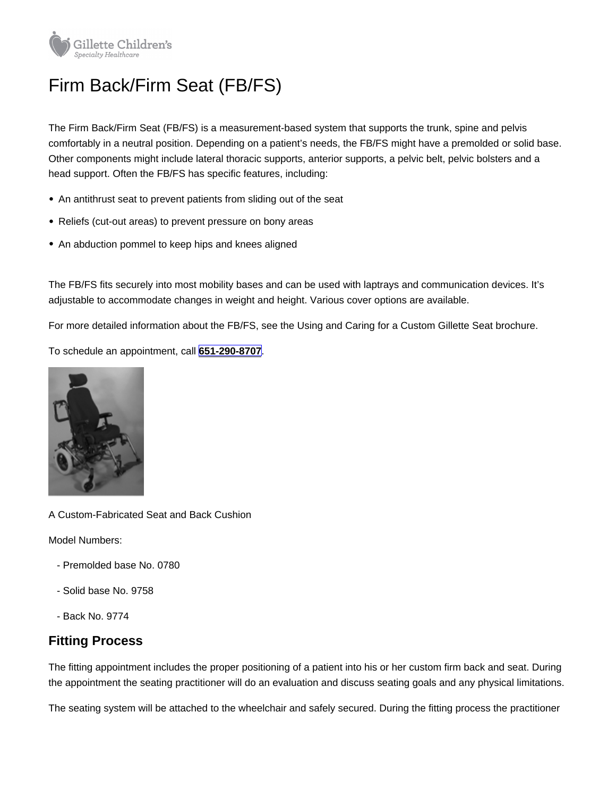## Firm Back/Firm Seat (FB/FS)

The Firm Back/Firm Seat (FB/FS) is a measurement-based system that supports the trunk, spine and pelvis comfortably in a neutral position. Depending on a patient's needs, the FB/FS might have a premolded or solid base. Other components might include lateral thoracic supports, anterior supports, a pelvic belt, pelvic bolsters and a head support. Often the FB/FS has specific features, including:

- An antithrust seat to prevent patients from sliding out of the seat
- Reliefs (cut-out areas) to prevent pressure on bony areas
- An abduction pommel to keep hips and knees aligned

The FB/FS fits securely into most mobility bases and can be used with laptrays and communication devices. It's adjustable to accommodate changes in weight and height. Various cover options are available.

For more detailed information about the FB/FS, see the Using and Caring for a Custom Gillette Seat brochure.

To schedule an appointment, call [651-290-8707.](tel:+16512908707)

A Custom-Fabricated Seat and Back Cushion

Model Numbers:

- Premolded base No. 0780
- Solid base No. 9758
- Back No. 9774

## Fitting Process

The fitting appointment includes the proper positioning of a patient into his or her custom firm back and seat. During the appointment the seating practitioner will do an evaluation and discuss seating goals and any physical limitations.

The seating system will be attached to the wheelchair and safely secured. During the fitting process the practitioner